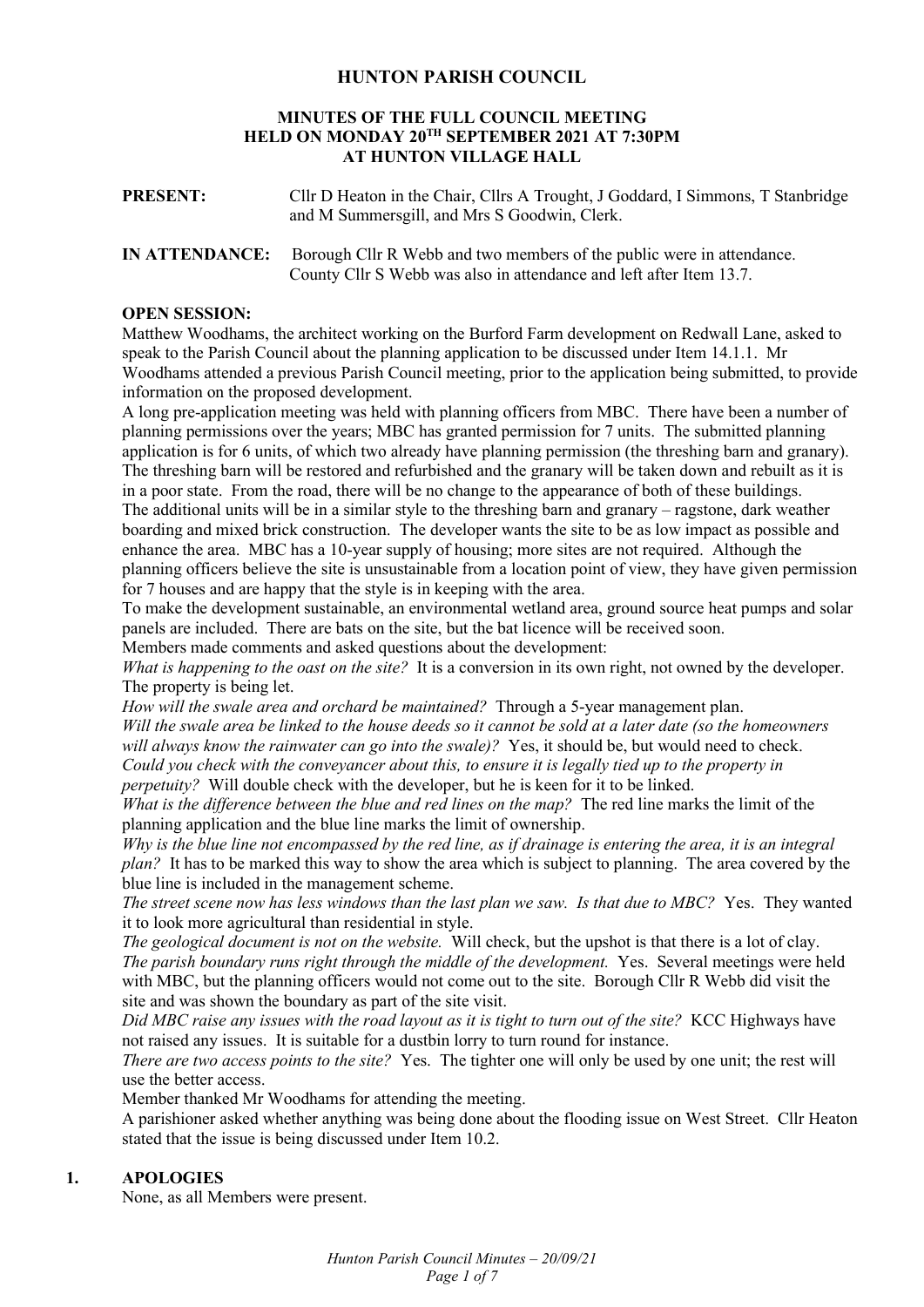#### **HUNTON PARISH COUNCIL**

#### **MINUTES OF THE FULL COUNCIL MEETING HELD ON MONDAY 20TH SEPTEMBER 2021 AT 7:30PM AT HUNTON VILLAGE HALL**

| <b>PRESENT:</b> | Cllr D Heaton in the Chair, Cllrs A Trought, J Goddard, I Simmons, T Stanbridge |
|-----------------|---------------------------------------------------------------------------------|
|                 | and M Summersgill, and Mrs S Goodwin, Clerk.                                    |

**IN ATTENDANCE:** Borough Cllr R Webb and two members of the public were in attendance. County Cllr S Webb was also in attendance and left after Item 13.7.

#### **OPEN SESSION:**

Matthew Woodhams, the architect working on the Burford Farm development on Redwall Lane, asked to speak to the Parish Council about the planning application to be discussed under Item 14.1.1. Mr Woodhams attended a previous Parish Council meeting, prior to the application being submitted, to provide information on the proposed development.

A long pre-application meeting was held with planning officers from MBC. There have been a number of planning permissions over the years; MBC has granted permission for 7 units. The submitted planning application is for 6 units, of which two already have planning permission (the threshing barn and granary). The threshing barn will be restored and refurbished and the granary will be taken down and rebuilt as it is in a poor state. From the road, there will be no change to the appearance of both of these buildings. The additional units will be in a similar style to the threshing barn and granary – ragstone, dark weather boarding and mixed brick construction. The developer wants the site to be as low impact as possible and enhance the area. MBC has a 10-year supply of housing; more sites are not required. Although the planning officers believe the site is unsustainable from a location point of view, they have given permission for 7 houses and are happy that the style is in keeping with the area.

To make the development sustainable, an environmental wetland area, ground source heat pumps and solar panels are included. There are bats on the site, but the bat licence will be received soon. Members made comments and asked questions about the development:

*What is happening to the oast on the site?* It is a conversion in its own right, not owned by the developer. The property is being let.

*How will the swale area and orchard be maintained?* Through a 5-year management plan. *Will the swale area be linked to the house deeds so it cannot be sold at a later date (so the homeowners will always know the rainwater can go into the swale)?* Yes, it should be, but would need to check. *Could you check with the conveyancer about this, to ensure it is legally tied up to the property in perpetuity?* Will double check with the developer, but he is keen for it to be linked.

*What is the difference between the blue and red lines on the map?* The red line marks the limit of the planning application and the blue line marks the limit of ownership.

*Why is the blue line not encompassed by the red line, as if drainage is entering the area, it is an integral plan?* It has to be marked this way to show the area which is subject to planning. The area covered by the blue line is included in the management scheme.

*The street scene now has less windows than the last plan we saw. Is that due to MBC?* Yes. They wanted it to look more agricultural than residential in style.

*The geological document is not on the website.* Will check, but the upshot is that there is a lot of clay. *The parish boundary runs right through the middle of the development.* Yes. Several meetings were held with MBC, but the planning officers would not come out to the site. Borough Cllr R Webb did visit the site and was shown the boundary as part of the site visit.

*Did MBC raise any issues with the road layout as it is tight to turn out of the site?* KCC Highways have not raised any issues. It is suitable for a dustbin lorry to turn round for instance.

*There are two access points to the site?* Yes. The tighter one will only be used by one unit; the rest will use the better access.

Member thanked Mr Woodhams for attending the meeting.

A parishioner asked whether anything was being done about the flooding issue on West Street. Cllr Heaton stated that the issue is being discussed under Item 10.2.

#### **1. APOLOGIES**

None, as all Members were present.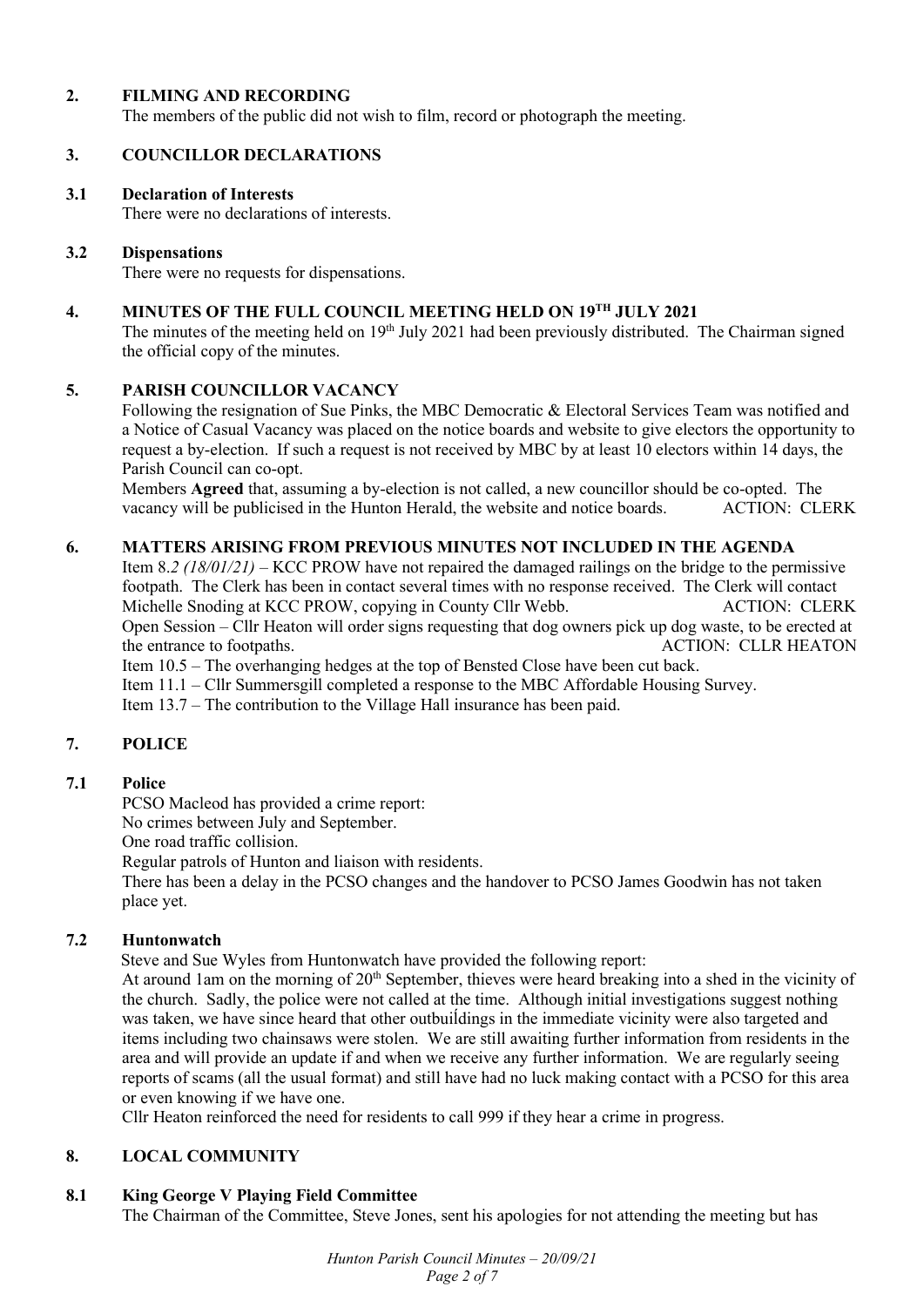#### **2. FILMING AND RECORDING**

The members of the public did not wish to film, record or photograph the meeting.

# **3. COUNCILLOR DECLARATIONS**

#### **3.1 Declaration of Interests**

There were no declarations of interests.

#### **3.2 Dispensations**

There were no requests for dispensations.

# **4. MINUTES OF THE FULL COUNCIL MEETING HELD ON 19TH JULY 2021**

The minutes of the meeting held on 19<sup>th</sup> July 2021 had been previously distributed. The Chairman signed the official copy of the minutes.

#### **5. PARISH COUNCILLOR VACANCY**

Following the resignation of Sue Pinks, the MBC Democratic & Electoral Services Team was notified and a Notice of Casual Vacancy was placed on the notice boards and website to give electors the opportunity to request a by-election. If such a request is not received by MBC by at least 10 electors within 14 days, the Parish Council can co-opt.

Members **Agreed** that, assuming a by-election is not called, a new councillor should be co-opted. The vacancy will be publicised in the Hunton Herald, the website and notice boards. ACTION: CLERK

#### **6. MATTERS ARISING FROM PREVIOUS MINUTES NOT INCLUDED IN THE AGENDA**

Item 8.*2 (18/01/21)* – KCC PROW have not repaired the damaged railings on the bridge to the permissive footpath. The Clerk has been in contact several times with no response received. The Clerk will contact Michelle Snoding at KCC PROW, copying in County Cllr Webb. ACTION: CLERK Open Session – Cllr Heaton will order signs requesting that dog owners pick up dog waste, to be erected at the entrance to footpaths. ACTION: CLLR HEATON Item 10.5 – The overhanging hedges at the top of Bensted Close have been cut back.

Item 11.1 – Cllr Summersgill completed a response to the MBC Affordable Housing Survey.

Item 13.7 – The contribution to the Village Hall insurance has been paid.

# **7. POLICE**

# **7.1 Police**

PCSO Macleod has provided a crime report:

No crimes between July and September.

One road traffic collision.

Regular patrols of Hunton and liaison with residents.

There has been a delay in the PCSO changes and the handover to PCSO James Goodwin has not taken place yet.

# **7.2 Huntonwatch**

Steve and Sue Wyles from Huntonwatch have provided the following report:

At around 1am on the morning of  $20<sup>th</sup>$  September, thieves were heard breaking into a shed in the vicinity of the church. Sadly, the police were not called at the time. Although initial investigations suggest nothing was taken, we have since heard that other outbuiĺdings in the immediate vicinity were also targeted and items including two chainsaws were stolen. We are still awaiting further information from residents in the area and will provide an update if and when we receive any further information. We are regularly seeing reports of scams (all the usual format) and still have had no luck making contact with a PCSO for this area or even knowing if we have one.

Cllr Heaton reinforced the need for residents to call 999 if they hear a crime in progress.

# **8. LOCAL COMMUNITY**

# **8.1 King George V Playing Field Committee**

The Chairman of the Committee, Steve Jones, sent his apologies for not attending the meeting but has

*Hunton Parish Council Minutes – 20/09/21 Page 2 of 7*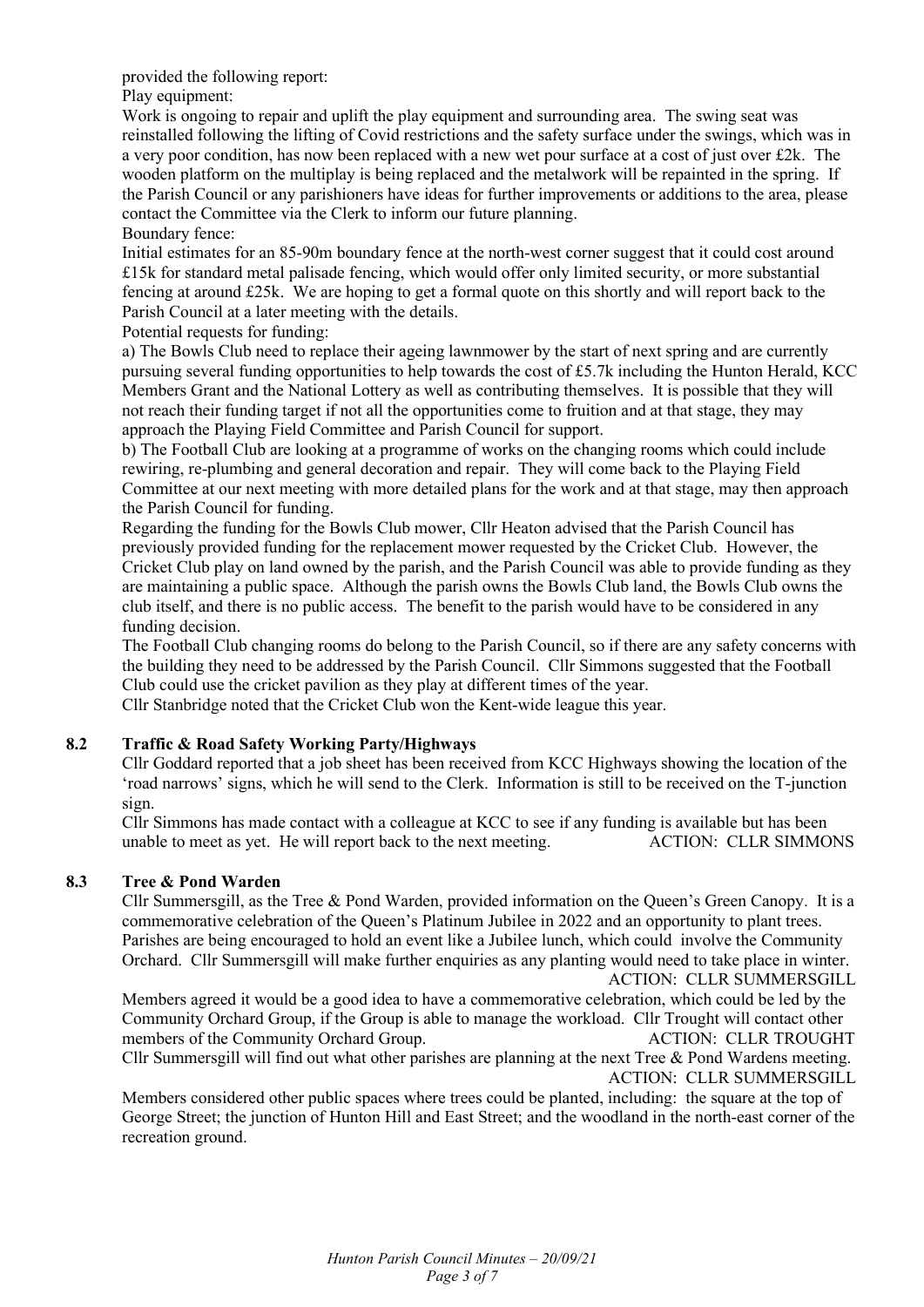provided the following report:

Play equipment:

Work is ongoing to repair and uplift the play equipment and surrounding area. The swing seat was reinstalled following the lifting of Covid restrictions and the safety surface under the swings, which was in a very poor condition, has now been replaced with a new wet pour surface at a cost of just over  $\text{\textsterling}2k$ . The wooden platform on the multiplay is being replaced and the metalwork will be repainted in the spring. If the Parish Council or any parishioners have ideas for further improvements or additions to the area, please contact the Committee via the Clerk to inform our future planning.

Boundary fence: Initial estimates for an 85-90m boundary fence at the north-west corner suggest that it could cost around £15k for standard metal palisade fencing, which would offer only limited security, or more substantial fencing at around £25k. We are hoping to get a formal quote on this shortly and will report back to the

Parish Council at a later meeting with the details.

Potential requests for funding:

a) The Bowls Club need to replace their ageing lawnmower by the start of next spring and are currently pursuing several funding opportunities to help towards the cost of  $£5.7k$  including the Hunton Herald, KCC Members Grant and the National Lottery as well as contributing themselves. It is possible that they will not reach their funding target if not all the opportunities come to fruition and at that stage, they may approach the Playing Field Committee and Parish Council for support.

b) The Football Club are looking at a programme of works on the changing rooms which could include rewiring, re-plumbing and general decoration and repair. They will come back to the Playing Field Committee at our next meeting with more detailed plans for the work and at that stage, may then approach the Parish Council for funding.

Regarding the funding for the Bowls Club mower, Cllr Heaton advised that the Parish Council has previously provided funding for the replacement mower requested by the Cricket Club. However, the Cricket Club play on land owned by the parish, and the Parish Council was able to provide funding as they are maintaining a public space. Although the parish owns the Bowls Club land, the Bowls Club owns the club itself, and there is no public access. The benefit to the parish would have to be considered in any funding decision.

The Football Club changing rooms do belong to the Parish Council, so if there are any safety concerns with the building they need to be addressed by the Parish Council. Cllr Simmons suggested that the Football Club could use the cricket pavilion as they play at different times of the year.

Cllr Stanbridge noted that the Cricket Club won the Kent-wide league this year.

# **8.2 Traffic & Road Safety Working Party/Highways**

Cllr Goddard reported that a job sheet has been received from KCC Highways showing the location of the 'road narrows' signs, which he will send to the Clerk. Information is still to be received on the T-junction sign.

Cllr Simmons has made contact with a colleague at KCC to see if any funding is available but has been unable to meet as yet. He will report back to the next meeting.

# **8.3 Tree & Pond Warden**

Cllr Summersgill, as the Tree & Pond Warden, provided information on the Queen's Green Canopy. It is a commemorative celebration of the Queen's Platinum Jubilee in 2022 and an opportunity to plant trees. Parishes are being encouraged to hold an event like a Jubilee lunch, which could involve the Community Orchard. Cllr Summersgill will make further enquiries as any planting would need to take place in winter. ACTION: CLLR SUMMERSGILL

Members agreed it would be a good idea to have a commemorative celebration, which could be led by the Community Orchard Group, if the Group is able to manage the workload. Cllr Trought will contact other members of the Community Orchard Group. ACTION: CLLR TROUGHT

Cllr Summersgill will find out what other parishes are planning at the next Tree & Pond Wardens meeting. ACTION: CLLR SUMMERSGILL

Members considered other public spaces where trees could be planted, including: the square at the top of George Street; the junction of Hunton Hill and East Street; and the woodland in the north-east corner of the recreation ground.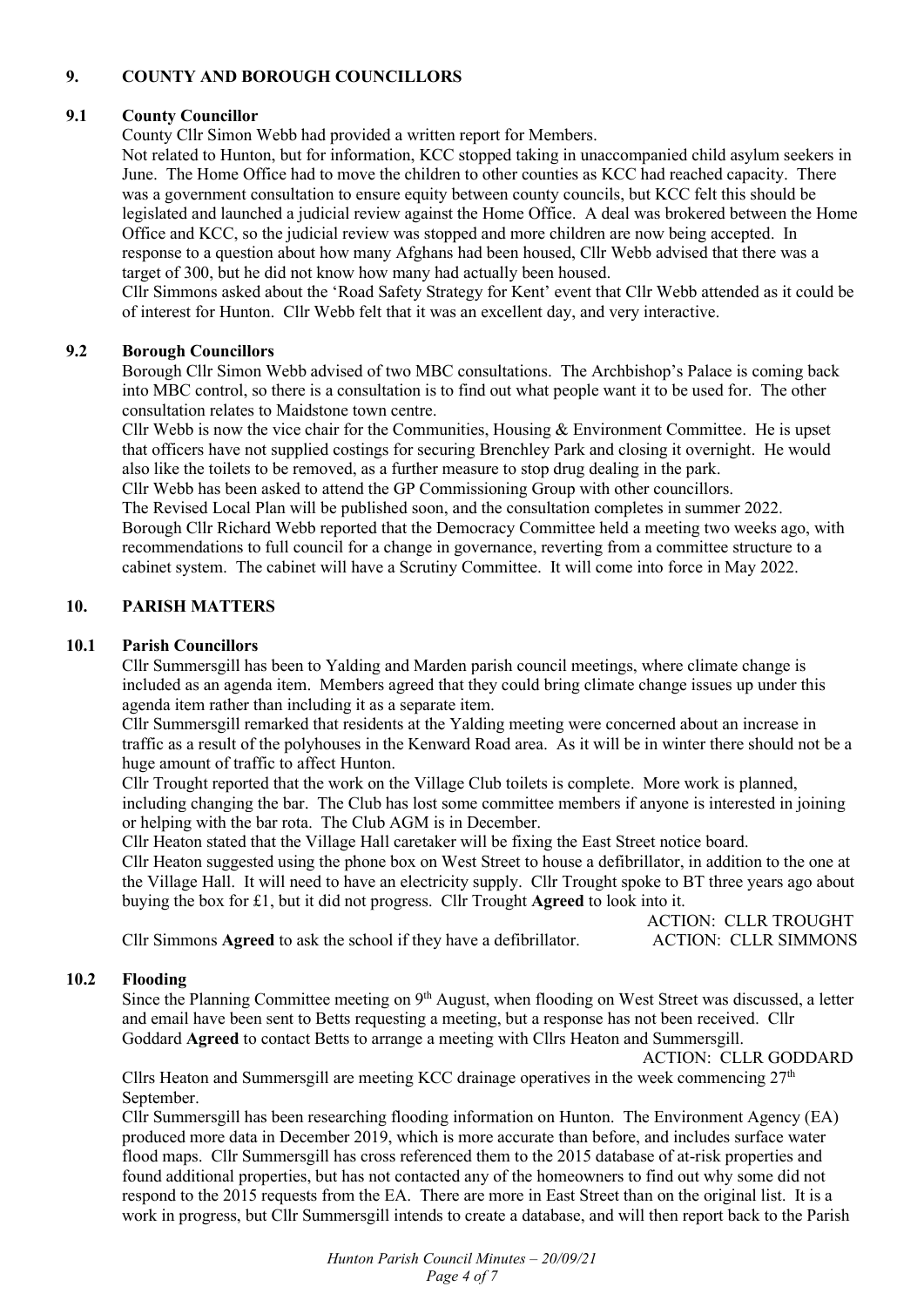# **9. COUNTY AND BOROUGH COUNCILLORS**

#### **9.1 County Councillor**

County Cllr Simon Webb had provided a written report for Members.

Not related to Hunton, but for information, KCC stopped taking in unaccompanied child asylum seekers in June. The Home Office had to move the children to other counties as KCC had reached capacity. There was a government consultation to ensure equity between county councils, but KCC felt this should be legislated and launched a judicial review against the Home Office. A deal was brokered between the Home Office and KCC, so the judicial review was stopped and more children are now being accepted. In response to a question about how many Afghans had been housed, Cllr Webb advised that there was a target of 300, but he did not know how many had actually been housed.

Cllr Simmons asked about the 'Road Safety Strategy for Kent' event that Cllr Webb attended as it could be of interest for Hunton. Cllr Webb felt that it was an excellent day, and very interactive.

#### **9.2 Borough Councillors**

Borough Cllr Simon Webb advised of two MBC consultations. The Archbishop's Palace is coming back into MBC control, so there is a consultation is to find out what people want it to be used for. The other consultation relates to Maidstone town centre.

Cllr Webb is now the vice chair for the Communities, Housing  $\&$  Environment Committee. He is upset that officers have not supplied costings for securing Brenchley Park and closing it overnight. He would also like the toilets to be removed, as a further measure to stop drug dealing in the park.

Cllr Webb has been asked to attend the GP Commissioning Group with other councillors.

The Revised Local Plan will be published soon, and the consultation completes in summer 2022. Borough Cllr Richard Webb reported that the Democracy Committee held a meeting two weeks ago, with recommendations to full council for a change in governance, reverting from a committee structure to a cabinet system. The cabinet will have a Scrutiny Committee. It will come into force in May 2022.

#### **10. PARISH MATTERS**

#### **10.1 Parish Councillors**

Cllr Summersgill has been to Yalding and Marden parish council meetings, where climate change is included as an agenda item. Members agreed that they could bring climate change issues up under this agenda item rather than including it as a separate item.

Cllr Summersgill remarked that residents at the Yalding meeting were concerned about an increase in traffic as a result of the polyhouses in the Kenward Road area. As it will be in winter there should not be a huge amount of traffic to affect Hunton.

Cllr Trought reported that the work on the Village Club toilets is complete. More work is planned, including changing the bar. The Club has lost some committee members if anyone is interested in joining or helping with the bar rota. The Club AGM is in December.

Cllr Heaton stated that the Village Hall caretaker will be fixing the East Street notice board. Cllr Heaton suggested using the phone box on West Street to house a defibrillator, in addition to the one at the Village Hall. It will need to have an electricity supply. Cllr Trought spoke to BT three years ago about

buying the box for £1, but it did not progress. Cllr Trought **Agreed** to look into it.

|                                                                     | <b>ACTION: CLLR TROUGHT</b> |
|---------------------------------------------------------------------|-----------------------------|
| Cllr Simmons Agreed to ask the school if they have a defibrillator. | <b>ACTION: CLLR SIMMONS</b> |

#### **10.2 Flooding**

Since the Planning Committee meeting on 9<sup>th</sup> August, when flooding on West Street was discussed, a letter and email have been sent to Betts requesting a meeting, but a response has not been received. Cllr Goddard **Agreed** to contact Betts to arrange a meeting with Cllrs Heaton and Summersgill.

ACTION: CLLR GODDARD

Cllrs Heaton and Summersgill are meeting KCC drainage operatives in the week commencing  $27<sup>th</sup>$ September.

Cllr Summersgill has been researching flooding information on Hunton. The Environment Agency (EA) produced more data in December 2019, which is more accurate than before, and includes surface water flood maps. Cllr Summersgill has cross referenced them to the 2015 database of at-risk properties and found additional properties, but has not contacted any of the homeowners to find out why some did not respond to the 2015 requests from the EA. There are more in East Street than on the original list. It is a work in progress, but Cllr Summersgill intends to create a database, and will then report back to the Parish

> *Hunton Parish Council Minutes – 20/09/21 Page 4 of 7*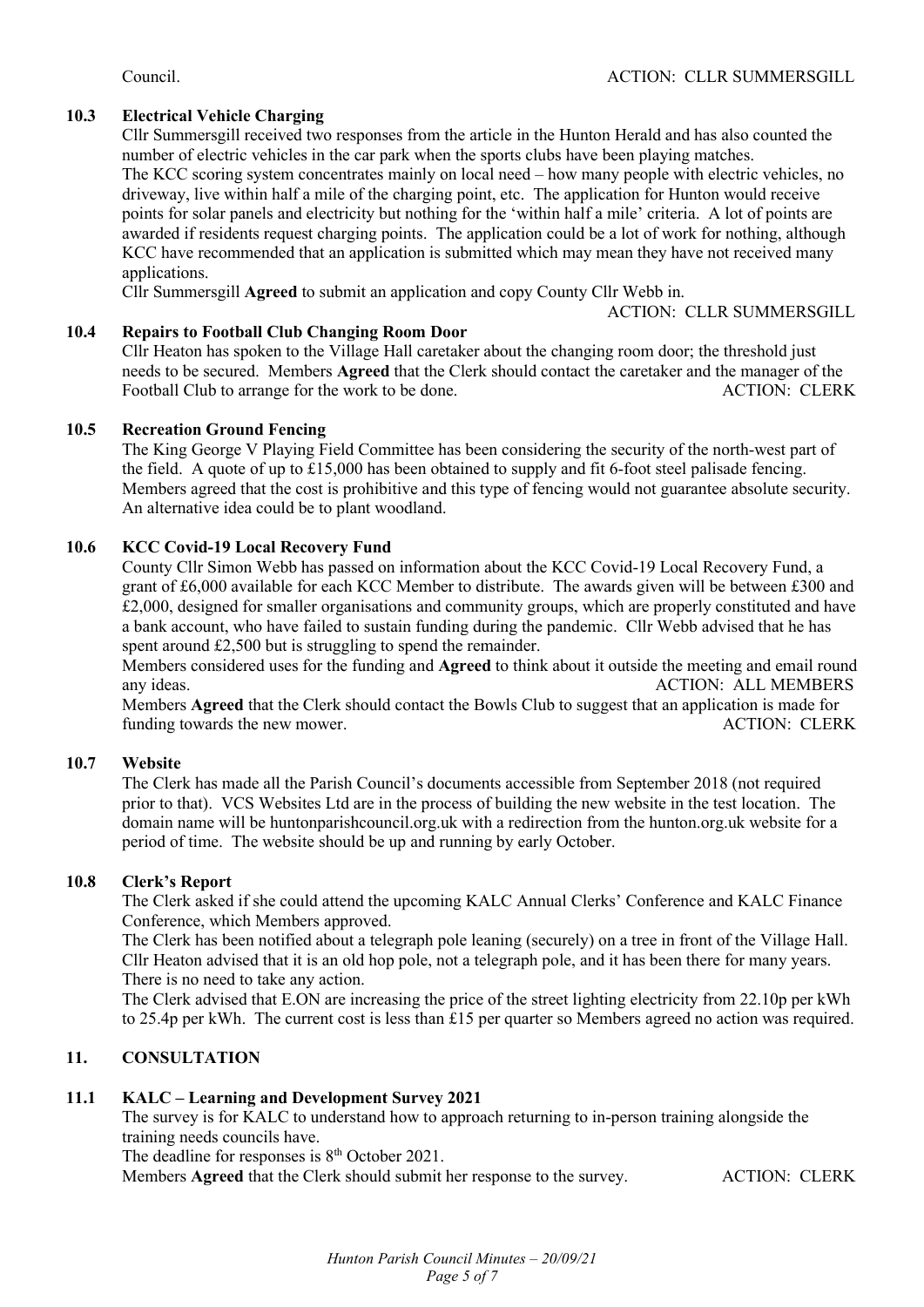# **10.3 Electrical Vehicle Charging**

Cllr Summersgill received two responses from the article in the Hunton Herald and has also counted the number of electric vehicles in the car park when the sports clubs have been playing matches. The KCC scoring system concentrates mainly on local need – how many people with electric vehicles, no driveway, live within half a mile of the charging point, etc. The application for Hunton would receive points for solar panels and electricity but nothing for the 'within half a mile' criteria. A lot of points are awarded if residents request charging points. The application could be a lot of work for nothing, although KCC have recommended that an application is submitted which may mean they have not received many applications.

Cllr Summersgill **Agreed** to submit an application and copy County Cllr Webb in.

ACTION: CLLR SUMMERSGILL

# **10.4 Repairs to Football Club Changing Room Door**

Cllr Heaton has spoken to the Village Hall caretaker about the changing room door; the threshold just needs to be secured. Members **Agreed** that the Clerk should contact the caretaker and the manager of the Football Club to arrange for the work to be done.

#### **10.5 Recreation Ground Fencing**

The King George V Playing Field Committee has been considering the security of the north-west part of the field. A quote of up to £15,000 has been obtained to supply and fit 6-foot steel palisade fencing. Members agreed that the cost is prohibitive and this type of fencing would not guarantee absolute security. An alternative idea could be to plant woodland.

# **10.6 KCC Covid-19 Local Recovery Fund**

County Cllr Simon Webb has passed on information about the KCC Covid-19 Local Recovery Fund, a grant of £6,000 available for each KCC Member to distribute. The awards given will be between £300 and £2,000, designed for smaller organisations and community groups, which are properly constituted and have a bank account, who have failed to sustain funding during the pandemic. Cllr Webb advised that he has spent around £2,500 but is struggling to spend the remainder.

Members considered uses for the funding and **Agreed** to think about it outside the meeting and email round any ideas. ACTION: ALL MEMBERS

Members **Agreed** that the Clerk should contact the Bowls Club to suggest that an application is made for funding towards the new mower.

# **10.7 Website**

The Clerk has made all the Parish Council's documents accessible from September 2018 (not required prior to that). VCS Websites Ltd are in the process of building the new website in the test location. The domain name will be huntonparishcouncil.org.uk with a redirection from the hunton.org.uk website for a period of time. The website should be up and running by early October.

# **10.8 Clerk's Report**

The Clerk asked if she could attend the upcoming KALC Annual Clerks' Conference and KALC Finance Conference, which Members approved.

The Clerk has been notified about a telegraph pole leaning (securely) on a tree in front of the Village Hall. Cllr Heaton advised that it is an old hop pole, not a telegraph pole, and it has been there for many years. There is no need to take any action.

The Clerk advised that E.ON are increasing the price of the street lighting electricity from 22.10p per kWh to 25.4p per kWh. The current cost is less than £15 per quarter so Members agreed no action was required.

# **11. CONSULTATION**

# **11.1 KALC – Learning and Development Survey 2021**

The survey is for KALC to understand how to approach returning to in-person training alongside the training needs councils have.

The deadline for responses is  $8<sup>th</sup>$  October 2021.

Members **Agreed** that the Clerk should submit her response to the survey. ACTION: CLERK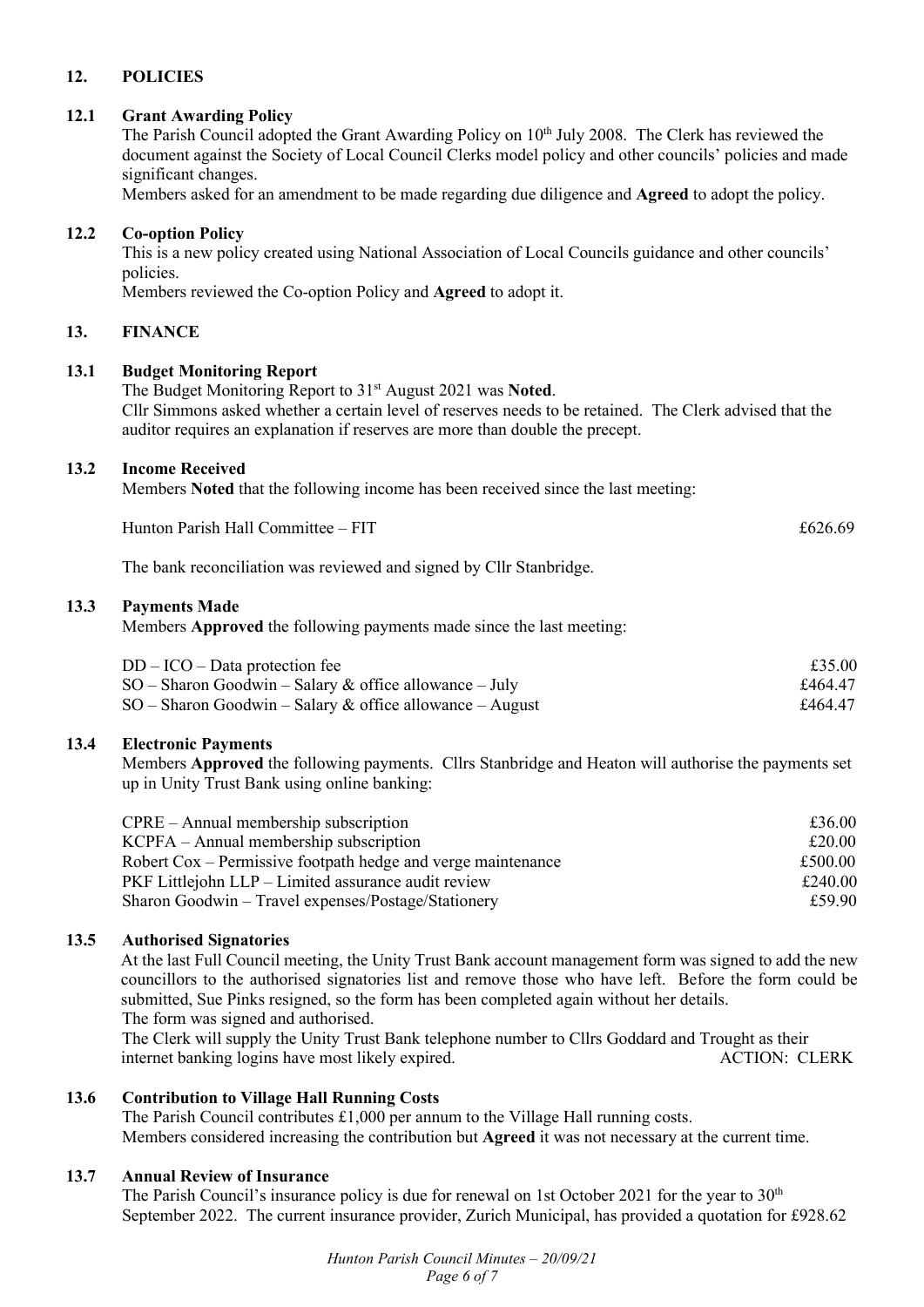# **12. POLICIES**

#### **12.1 Grant Awarding Policy**

The Parish Council adopted the Grant Awarding Policy on 10<sup>th</sup> July 2008. The Clerk has reviewed the document against the Society of Local Council Clerks model policy and other councils' policies and made significant changes.

Members asked for an amendment to be made regarding due diligence and **Agreed** to adopt the policy.

#### **12.2 Co-option Policy**

This is a new policy created using National Association of Local Councils guidance and other councils' policies.

Members reviewed the Co-option Policy and **Agreed** to adopt it.

#### **13. FINANCE**

#### **13.1 Budget Monitoring Report**

The Budget Monitoring Report to 31st August 2021 was **Noted**. Cllr Simmons asked whether a certain level of reserves needs to be retained. The Clerk advised that the auditor requires an explanation if reserves are more than double the precept.

#### **13.2 Income Received**

Members **Noted** that the following income has been received since the last meeting:

| Hunton Parish Hall C<br>$Committee - FIT$ | £626.69 |
|-------------------------------------------|---------|
|-------------------------------------------|---------|

The bank reconciliation was reviewed and signed by Cllr Stanbridge.

#### **13.3 Payments Made**

Members **Approved** the following payments made since the last meeting:

| $DD - ICO - Data protection fee$                           | £35.00  |
|------------------------------------------------------------|---------|
| $SO -$ Sharon Goodwin – Salary & office allowance – July   | £464.47 |
| $SO -$ Sharon Goodwin – Salary & office allowance – August | £464.47 |

#### **13.4 Electronic Payments**

Members **Approved** the following payments. Cllrs Stanbridge and Heaton will authorise the payments set up in Unity Trust Bank using online banking:

| $CPRE - Annual membership$ subscription                      | £36.00  |
|--------------------------------------------------------------|---------|
| $KCPFA - Annual membership$ subscription                     | £20.00  |
| Robert Cox – Permissive footpath hedge and verge maintenance | £500.00 |
| PKF Littlejohn LLP – Limited assurance audit review          | £240.00 |
| Sharon Goodwin – Travel expenses/Postage/Stationery          | £59.90  |

# **13.5 Authorised Signatories**

At the last Full Council meeting, the Unity Trust Bank account management form was signed to add the new councillors to the authorised signatories list and remove those who have left. Before the form could be submitted, Sue Pinks resigned, so the form has been completed again without her details. The form was signed and authorised.

 The Clerk will supply the Unity Trust Bank telephone number to Cllrs Goddard and Trought as their internet banking logins have most likely expired. ACTION: CLERK

# **13.6 Contribution to Village Hall Running Costs**

 The Parish Council contributes £1,000 per annum to the Village Hall running costs. Members considered increasing the contribution but **Agreed** it was not necessary at the current time.

#### **13.7 Annual Review of Insurance**

The Parish Council's insurance policy is due for renewal on 1st October 2021 for the year to 30<sup>th</sup> September 2022. The current insurance provider, Zurich Municipal, has provided a quotation for £928.62